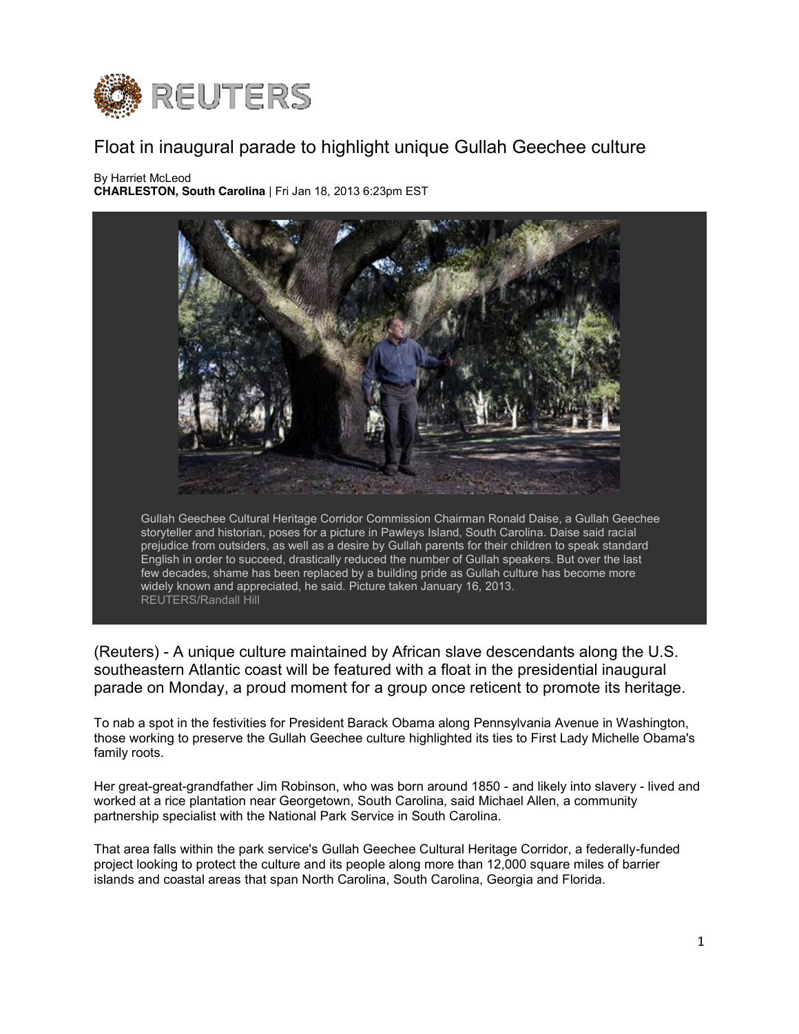

## Float in inaugural parade to highlight unique Gullah Geechee culture

## By Harriet McLeod

**CHARLESTON, South Carolina** | Fri Jan 18, 2013 6:23pm EST



storyteller and historian, poses for a picture in Pawleys Island, South Carolina. Daise said racial prejudice from outsiders, as well as a desire by Gullah parents for their children to speak standard English in order to succeed, drastically reduced the number of Gullah speakers. But over the last few decades, shame has been replaced by a building pride as Gullah culture has become more widely known and appreciated, he said. Picture taken January 16, 2013. REUTERS/Randall Hill

(Reuters) - A unique culture maintained by African slave descendants along the U.S. southeastern Atlantic coast will be featured with a float in the presidential inaugural parade on Monday, a proud moment for a group once reticent to promote its heritage.

To nab a spot in the festivities for President Barack Obama along Pennsylvania Avenue in Washington, those working to preserve the Gullah Geechee culture highlighted its ties to First Lady Michelle Obama's family roots.

Her great-great-grandfather Jim Robinson, who was born around 1850 - and likely into slavery - lived and worked at a rice plantation near Georgetown, South Carolina, said Michael Allen, a community partnership specialist with the National Park Service in South Carolina.

That area falls within the park service's Gullah Geechee Cultural Heritage Corridor, a federally-funded project looking to protect the culture and its people along more than 12,000 square miles of barrier islands and coastal areas that span North Carolina, South Carolina, Georgia and Florida.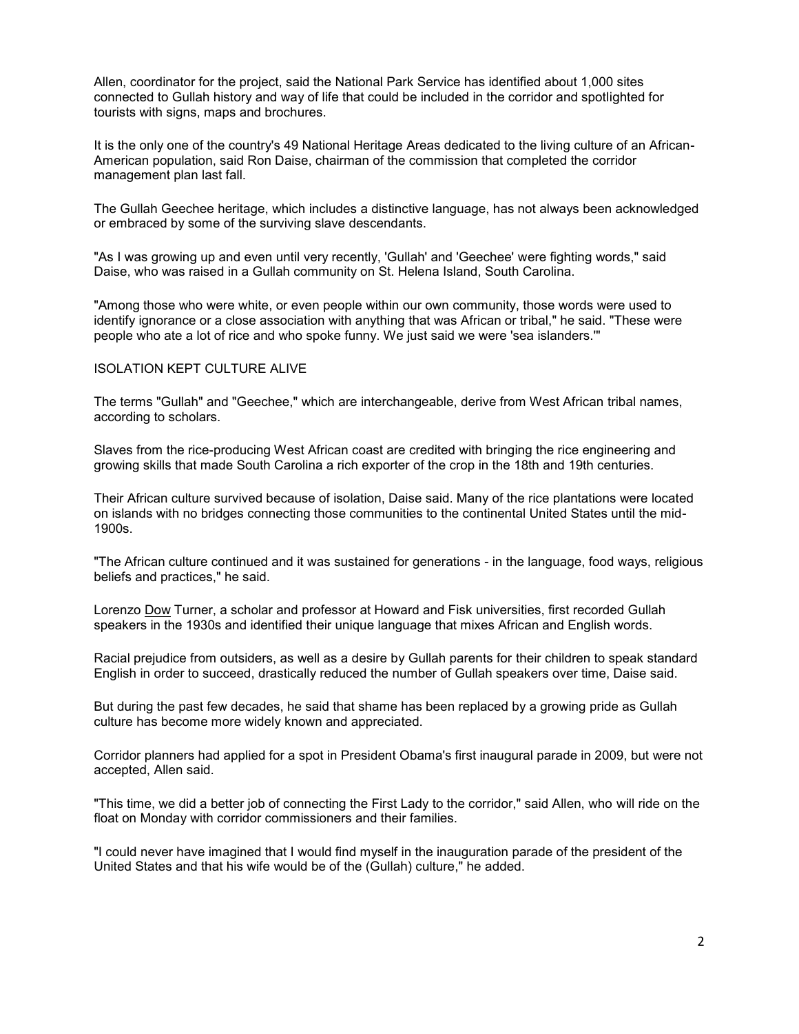Allen, coordinator for the project, said the National Park Service has identified about 1,000 sites connected to Gullah history and way of life that could be included in the corridor and spotlighted for tourists with signs, maps and brochures.

It is the only one of the country's 49 National Heritage Areas dedicated to the living culture of an African-American population, said Ron Daise, chairman of the commission that completed the corridor management plan last fall.

The Gullah Geechee heritage, which includes a distinctive language, has not always been acknowledged or embraced by some of the surviving slave descendants.

"As I was growing up and even until very recently, 'Gullah' and 'Geechee' were fighting words," said Daise, who was raised in a Gullah community on St. Helena Island, South Carolina.

"Among those who were white, or even people within our own community, those words were used to identify ignorance or a close association with anything that was African or tribal," he said. "These were people who ate a lot of rice and who spoke funny. We just said we were 'sea islanders.'"

## ISOLATION KEPT CULTURE ALIVE

The terms "Gullah" and "Geechee," which are interchangeable, derive from West African tribal names, according to scholars.

Slaves from the rice-producing West African coast are credited with bringing the rice engineering and growing skills that made South Carolina a rich exporter of the crop in the 18th and 19th centuries.

Their African culture survived because of isolation, Daise said. Many of the rice plantations were located on islands with no bridges connecting those communities to the continental United States until the mid-1900s.

"The African culture continued and it was sustained for generations - in the language, food ways, religious beliefs and practices," he said.

Lorenzo Dow Turner, a scholar and professor at Howard and Fisk universities, first recorded Gullah speakers in the 1930s and identified their unique language that mixes African and English words.

Racial prejudice from outsiders, as well as a desire by Gullah parents for their children to speak standard English in order to succeed, drastically reduced the number of Gullah speakers over time, Daise said.

But during the past few decades, he said that shame has been replaced by a growing pride as Gullah culture has become more widely known and appreciated.

Corridor planners had applied for a spot in President Obama's first inaugural parade in 2009, but were not accepted, Allen said.

"This time, we did a better job of connecting the First Lady to the corridor," said Allen, who will ride on the float on Monday with corridor commissioners and their families.

"I could never have imagined that I would find myself in the inauguration parade of the president of the United States and that his wife would be of the (Gullah) culture," he added.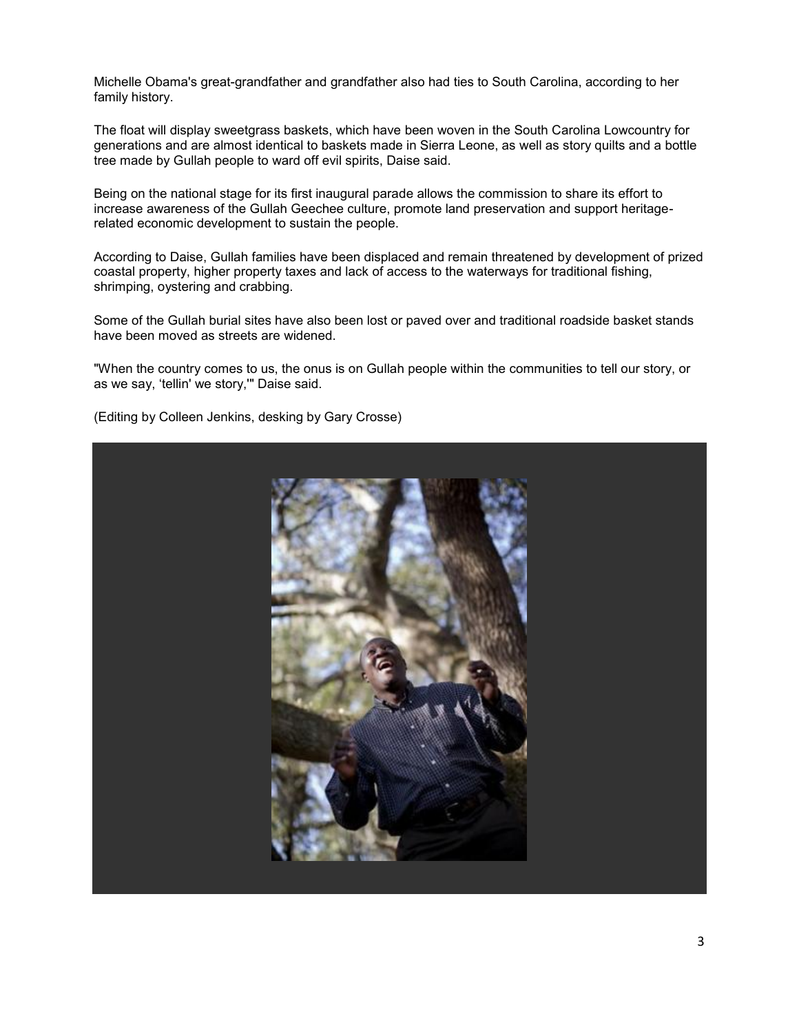Michelle Obama's great-grandfather and grandfather also had ties to South Carolina, according to her family history.

The float will display sweetgrass baskets, which have been woven in the South Carolina Lowcountry for generations and are almost identical to baskets made in Sierra Leone, as well as story quilts and a bottle tree made by Gullah people to ward off evil spirits, Daise said.

Being on the national stage for its first inaugural parade allows the commission to share its effort to increase awareness of the Gullah Geechee culture, promote land preservation and support heritagerelated economic development to sustain the people.

According to Daise, Gullah families have been displaced and remain threatened by development of prized coastal property, higher property taxes and lack of access to the waterways for traditional fishing, shrimping, oystering and crabbing.

Some of the Gullah burial sites have also been lost or paved over and traditional roadside basket stands have been moved as streets are widened.

"When the country comes to us, the onus is on Gullah people within the communities to tell our story, or as we say, 'tellin' we story,'" Daise said.

(Editing by Colleen Jenkins, desking by Gary Crosse)

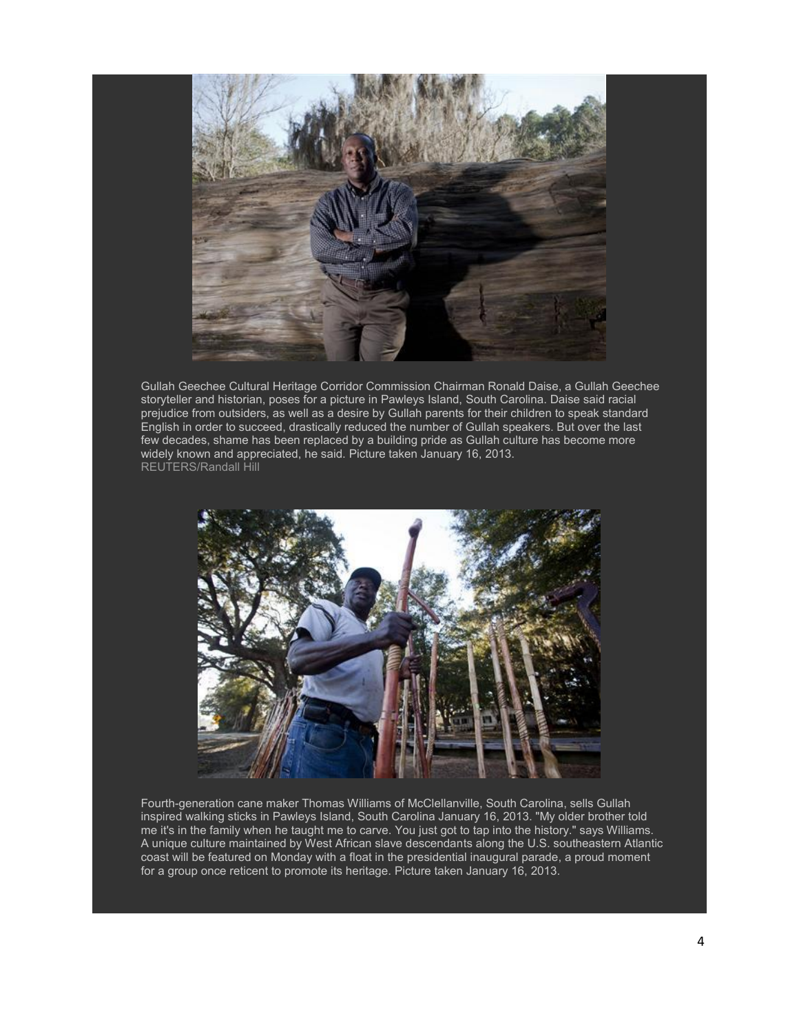

Gullah Geechee Cultural Heritage Corridor Commission Chairman Ronald Daise, a Gullah Geechee storyteller and historian, poses for a picture in Pawleys Island, South Carolina. Daise said racial prejudice from outsiders, as well as a desire by Gullah parents for their children to speak standard English in order to succeed, drastically reduced the number of Gullah speakers. But over the last few decades, shame has been replaced by a building pride as Gullah culture has become more widely known and appreciated, he said. Picture taken January 16, 2013. REUTERS/Randall Hill



Fourth-generation cane maker Thomas Williams of McClellanville, South Carolina, sells Gullah inspired walking sticks in Pawleys Island, South Carolina January 16, 2013. "My older brother told me it's in the family when he taught me to carve. You just got to tap into the history." says Williams. A unique culture maintained by West African slave descendants along the U.S. southeastern Atlantic coast will be featured on Monday with a float in the presidential inaugural parade, a proud moment for a group once reticent to promote its heritage. Picture taken January 16, 2013.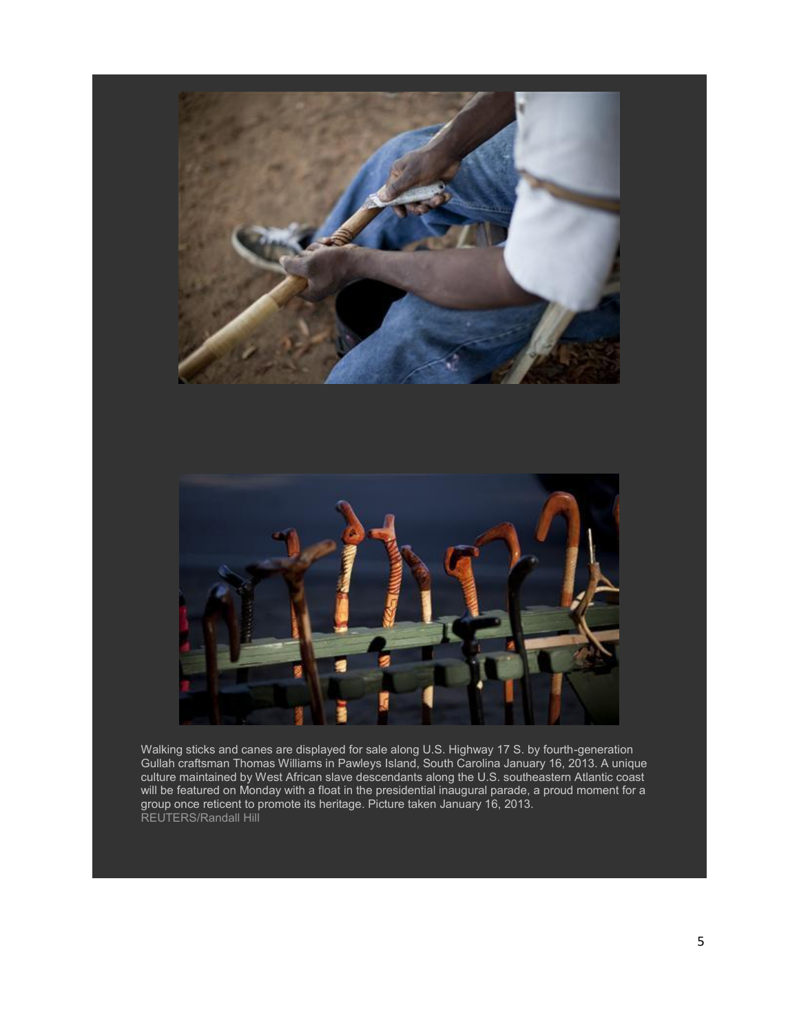



Walking sticks and canes are displayed for sale along U.S. Highway 17 S. by fourth-generation Gullah craftsman Thomas Williams in Pawleys Island, South Carolina January 16, 2013. A unique culture maintained by West African slave descendants along the U.S. southeastern Atlantic coast will be featured on Monday with a float in the presidential inaugural parade, a proud moment for a group once reticent to promote its heritage. Picture taken January 16, 2013. REUTERS/Randall Hill